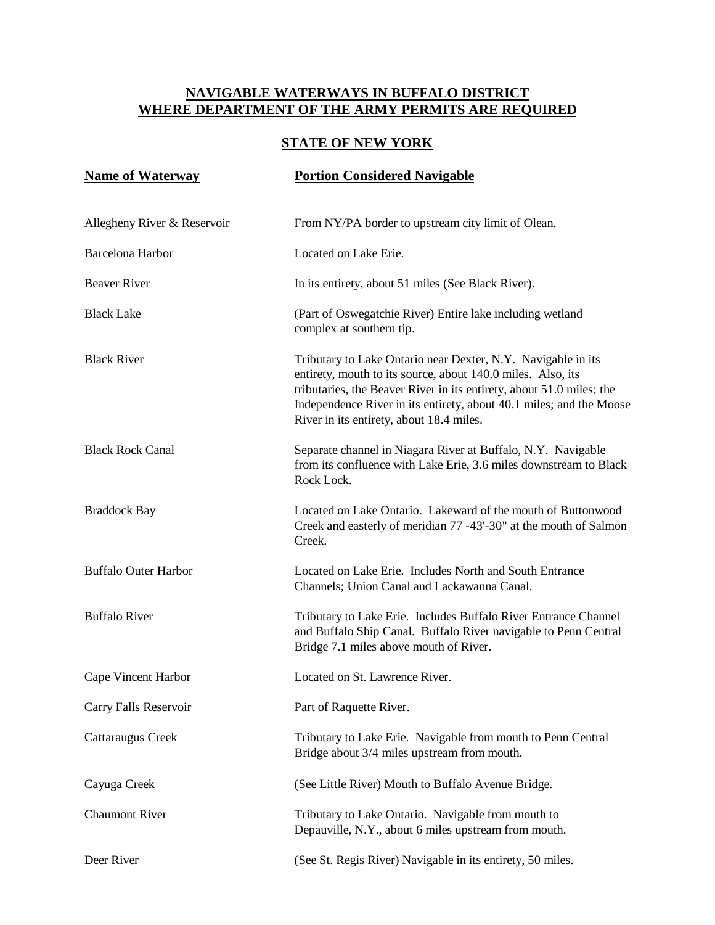### **STATE OF NEW YORK**

| <b>Name of Waterway</b>     | <b>Portion Considered Navigable</b>                                                                                                                                                                                                                                                                                    |
|-----------------------------|------------------------------------------------------------------------------------------------------------------------------------------------------------------------------------------------------------------------------------------------------------------------------------------------------------------------|
| Allegheny River & Reservoir | From NY/PA border to upstream city limit of Olean.                                                                                                                                                                                                                                                                     |
| Barcelona Harbor            | Located on Lake Erie.                                                                                                                                                                                                                                                                                                  |
| <b>Beaver River</b>         | In its entirety, about 51 miles (See Black River).                                                                                                                                                                                                                                                                     |
| <b>Black Lake</b>           | (Part of Oswegatchie River) Entire lake including wetland<br>complex at southern tip.                                                                                                                                                                                                                                  |
| <b>Black River</b>          | Tributary to Lake Ontario near Dexter, N.Y. Navigable in its<br>entirety, mouth to its source, about 140.0 miles. Also, its<br>tributaries, the Beaver River in its entirety, about 51.0 miles; the<br>Independence River in its entirety, about 40.1 miles; and the Moose<br>River in its entirety, about 18.4 miles. |
| <b>Black Rock Canal</b>     | Separate channel in Niagara River at Buffalo, N.Y. Navigable<br>from its confluence with Lake Erie, 3.6 miles downstream to Black<br>Rock Lock.                                                                                                                                                                        |
| <b>Braddock Bay</b>         | Located on Lake Ontario. Lakeward of the mouth of Buttonwood<br>Creek and easterly of meridian 77 -43'-30" at the mouth of Salmon<br>Creek.                                                                                                                                                                            |
| <b>Buffalo Outer Harbor</b> | Located on Lake Erie. Includes North and South Entrance<br>Channels; Union Canal and Lackawanna Canal.                                                                                                                                                                                                                 |
| <b>Buffalo River</b>        | Tributary to Lake Erie. Includes Buffalo River Entrance Channel<br>and Buffalo Ship Canal. Buffalo River navigable to Penn Central<br>Bridge 7.1 miles above mouth of River.                                                                                                                                           |
| Cape Vincent Harbor         | Located on St. Lawrence River.                                                                                                                                                                                                                                                                                         |
| Carry Falls Reservoir       | Part of Raquette River.                                                                                                                                                                                                                                                                                                |
| Cattaraugus Creek           | Tributary to Lake Erie. Navigable from mouth to Penn Central<br>Bridge about 3/4 miles upstream from mouth.                                                                                                                                                                                                            |
| Cayuga Creek                | (See Little River) Mouth to Buffalo Avenue Bridge.                                                                                                                                                                                                                                                                     |
| <b>Chaumont River</b>       | Tributary to Lake Ontario. Navigable from mouth to<br>Depauville, N.Y., about 6 miles upstream from mouth.                                                                                                                                                                                                             |
| Deer River                  | (See St. Regis River) Navigable in its entirety, 50 miles.                                                                                                                                                                                                                                                             |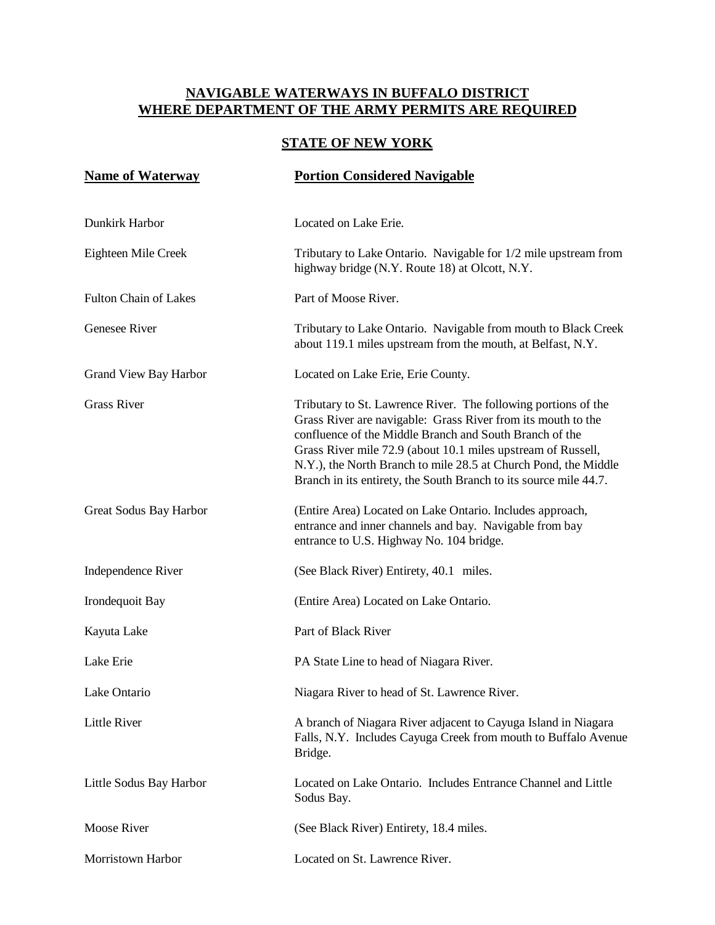#### **STATE OF NEW YORK**

| <b>Name of Waterway</b>      | <b>Portion Considered Navigable</b>                                                                                                                                                                                                                                                                                                                                                               |
|------------------------------|---------------------------------------------------------------------------------------------------------------------------------------------------------------------------------------------------------------------------------------------------------------------------------------------------------------------------------------------------------------------------------------------------|
| Dunkirk Harbor               | Located on Lake Erie.                                                                                                                                                                                                                                                                                                                                                                             |
| Eighteen Mile Creek          | Tributary to Lake Ontario. Navigable for 1/2 mile upstream from<br>highway bridge (N.Y. Route 18) at Olcott, N.Y.                                                                                                                                                                                                                                                                                 |
| <b>Fulton Chain of Lakes</b> | Part of Moose River.                                                                                                                                                                                                                                                                                                                                                                              |
| Genesee River                | Tributary to Lake Ontario. Navigable from mouth to Black Creek<br>about 119.1 miles upstream from the mouth, at Belfast, N.Y.                                                                                                                                                                                                                                                                     |
| Grand View Bay Harbor        | Located on Lake Erie, Erie County.                                                                                                                                                                                                                                                                                                                                                                |
| <b>Grass River</b>           | Tributary to St. Lawrence River. The following portions of the<br>Grass River are navigable: Grass River from its mouth to the<br>confluence of the Middle Branch and South Branch of the<br>Grass River mile 72.9 (about 10.1 miles upstream of Russell,<br>N.Y.), the North Branch to mile 28.5 at Church Pond, the Middle<br>Branch in its entirety, the South Branch to its source mile 44.7. |
| Great Sodus Bay Harbor       | (Entire Area) Located on Lake Ontario. Includes approach,<br>entrance and inner channels and bay. Navigable from bay<br>entrance to U.S. Highway No. 104 bridge.                                                                                                                                                                                                                                  |
| Independence River           | (See Black River) Entirety, 40.1 miles.                                                                                                                                                                                                                                                                                                                                                           |
| Irondequoit Bay              | (Entire Area) Located on Lake Ontario.                                                                                                                                                                                                                                                                                                                                                            |
| Kayuta Lake                  | Part of Black River                                                                                                                                                                                                                                                                                                                                                                               |
| Lake Erie                    | PA State Line to head of Niagara River.                                                                                                                                                                                                                                                                                                                                                           |
| Lake Ontario                 | Niagara River to head of St. Lawrence River.                                                                                                                                                                                                                                                                                                                                                      |
| <b>Little River</b>          | A branch of Niagara River adjacent to Cayuga Island in Niagara<br>Falls, N.Y. Includes Cayuga Creek from mouth to Buffalo Avenue<br>Bridge.                                                                                                                                                                                                                                                       |
| Little Sodus Bay Harbor      | Located on Lake Ontario. Includes Entrance Channel and Little<br>Sodus Bay.                                                                                                                                                                                                                                                                                                                       |
| <b>Moose River</b>           | (See Black River) Entirety, 18.4 miles.                                                                                                                                                                                                                                                                                                                                                           |
| Morristown Harbor            | Located on St. Lawrence River.                                                                                                                                                                                                                                                                                                                                                                    |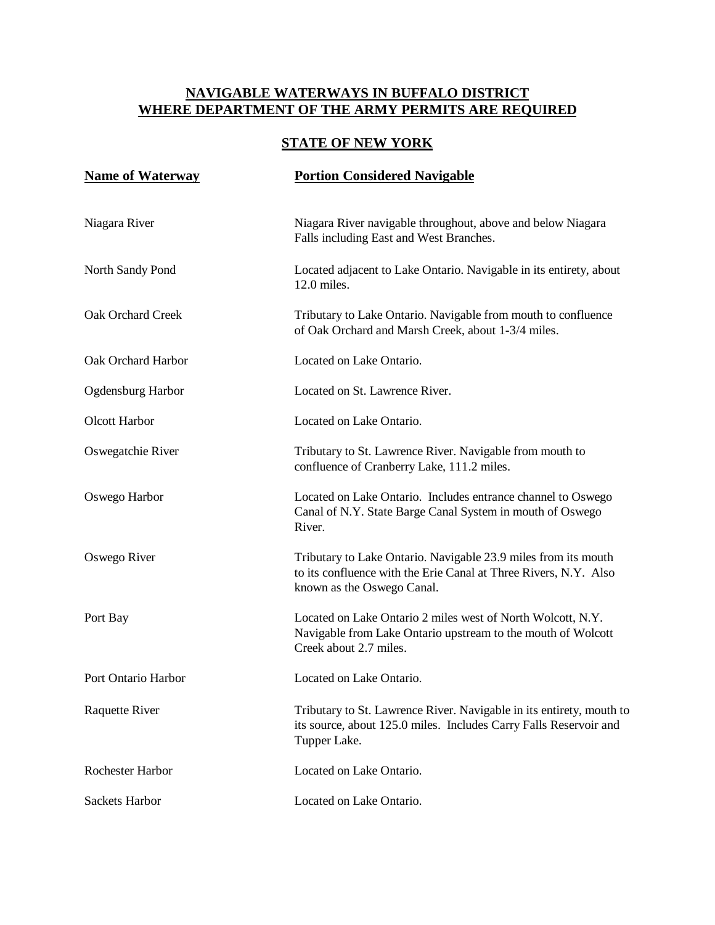### **STATE OF NEW YORK**

| <b>Name of Waterway</b>  | <b>Portion Considered Navigable</b>                                                                                                                              |
|--------------------------|------------------------------------------------------------------------------------------------------------------------------------------------------------------|
| Niagara River            | Niagara River navigable throughout, above and below Niagara<br>Falls including East and West Branches.                                                           |
| North Sandy Pond         | Located adjacent to Lake Ontario. Navigable in its entirety, about<br>$12.0$ miles.                                                                              |
| Oak Orchard Creek        | Tributary to Lake Ontario. Navigable from mouth to confluence<br>of Oak Orchard and Marsh Creek, about 1-3/4 miles.                                              |
| Oak Orchard Harbor       | Located on Lake Ontario.                                                                                                                                         |
| <b>Ogdensburg Harbor</b> | Located on St. Lawrence River.                                                                                                                                   |
| Olcott Harbor            | Located on Lake Ontario.                                                                                                                                         |
| Oswegatchie River        | Tributary to St. Lawrence River. Navigable from mouth to<br>confluence of Cranberry Lake, 111.2 miles.                                                           |
| Oswego Harbor            | Located on Lake Ontario. Includes entrance channel to Oswego<br>Canal of N.Y. State Barge Canal System in mouth of Oswego<br>River.                              |
| Oswego River             | Tributary to Lake Ontario. Navigable 23.9 miles from its mouth<br>to its confluence with the Erie Canal at Three Rivers, N.Y. Also<br>known as the Oswego Canal. |
| Port Bay                 | Located on Lake Ontario 2 miles west of North Wolcott, N.Y.<br>Navigable from Lake Ontario upstream to the mouth of Wolcott<br>Creek about 2.7 miles.            |
| Port Ontario Harbor      | Located on Lake Ontario.                                                                                                                                         |
| Raquette River           | Tributary to St. Lawrence River. Navigable in its entirety, mouth to<br>its source, about 125.0 miles. Includes Carry Falls Reservoir and<br>Tupper Lake.        |
| Rochester Harbor         | Located on Lake Ontario.                                                                                                                                         |
| <b>Sackets Harbor</b>    | Located on Lake Ontario.                                                                                                                                         |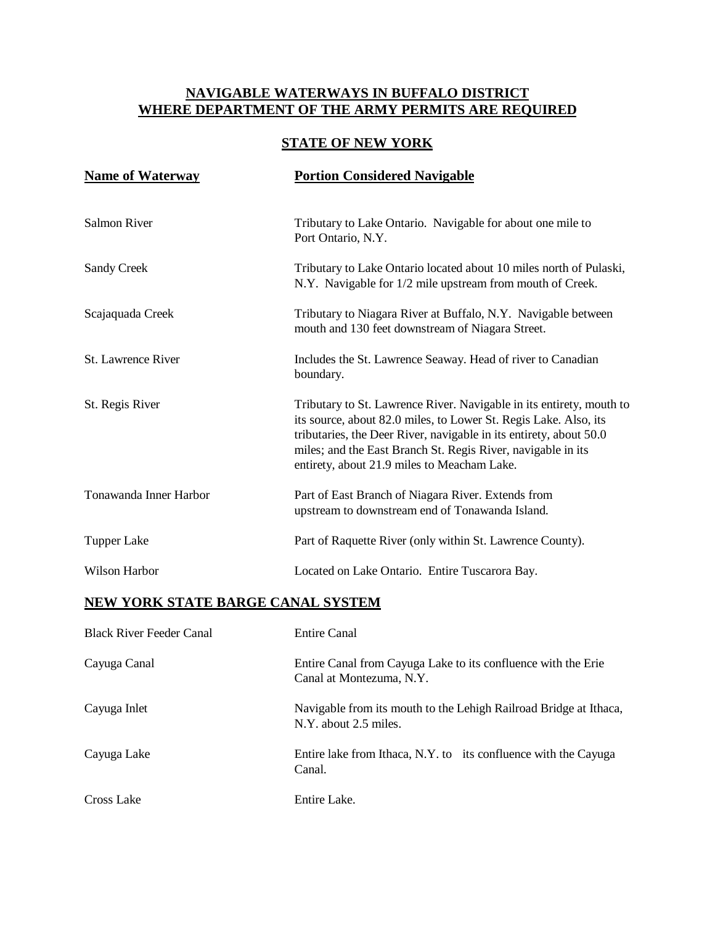# **STATE OF NEW YORK**

| <b>Name of Waterway</b>   | <b>Portion Considered Navigable</b>                                                                                                                                                                                                                                                                                           |
|---------------------------|-------------------------------------------------------------------------------------------------------------------------------------------------------------------------------------------------------------------------------------------------------------------------------------------------------------------------------|
| <b>Salmon River</b>       | Tributary to Lake Ontario. Navigable for about one mile to<br>Port Ontario, N.Y.                                                                                                                                                                                                                                              |
| <b>Sandy Creek</b>        | Tributary to Lake Ontario located about 10 miles north of Pulaski,<br>N.Y. Navigable for 1/2 mile upstream from mouth of Creek.                                                                                                                                                                                               |
| Scajaquada Creek          | Tributary to Niagara River at Buffalo, N.Y. Navigable between<br>mouth and 130 feet downstream of Niagara Street.                                                                                                                                                                                                             |
| <b>St.</b> Lawrence River | Includes the St. Lawrence Seaway. Head of river to Canadian<br>boundary.                                                                                                                                                                                                                                                      |
| St. Regis River           | Tributary to St. Lawrence River. Navigable in its entirety, mouth to<br>its source, about 82.0 miles, to Lower St. Regis Lake. Also, its<br>tributaries, the Deer River, navigable in its entirety, about 50.0<br>miles; and the East Branch St. Regis River, navigable in its<br>entirety, about 21.9 miles to Meacham Lake. |
| Tonawanda Inner Harbor    | Part of East Branch of Niagara River. Extends from<br>upstream to downstream end of Tonawanda Island.                                                                                                                                                                                                                         |
| <b>Tupper Lake</b>        | Part of Raquette River (only within St. Lawrence County).                                                                                                                                                                                                                                                                     |
| Wilson Harbor             | Located on Lake Ontario. Entire Tuscarora Bay.                                                                                                                                                                                                                                                                                |

#### **NEW YORK STATE BARGE CANAL SYSTEM**

| <b>Black River Feeder Canal</b> | Entire Canal                                                                               |
|---------------------------------|--------------------------------------------------------------------------------------------|
| Cayuga Canal                    | Entire Canal from Cayuga Lake to its confluence with the Erie<br>Canal at Montezuma, N.Y.  |
| Cayuga Inlet                    | Navigable from its mouth to the Lehigh Railroad Bridge at Ithaca,<br>N.Y. about 2.5 miles. |
| Cayuga Lake                     | Entire lake from Ithaca, N.Y. to its confluence with the Cayuga<br>Canal.                  |
| Cross Lake                      | Entire Lake.                                                                               |